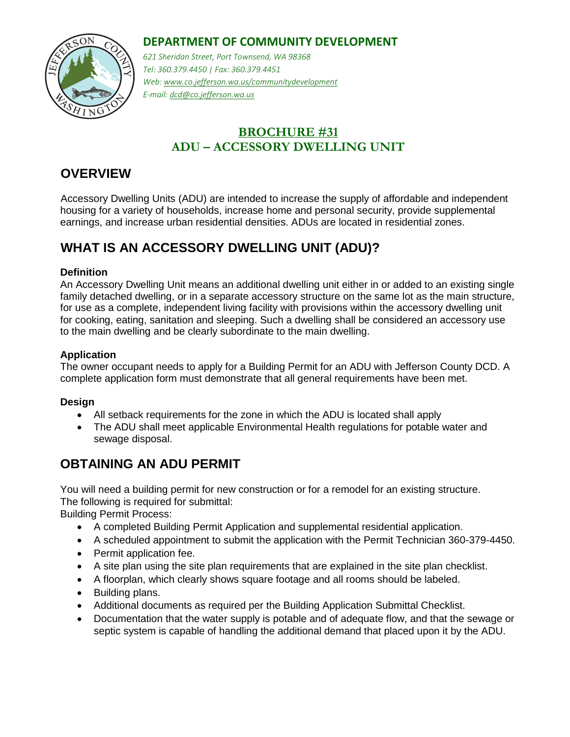### **DEPARTMENT OF COMMUNITY DEVELOPMENT**



*621 Sheridan Street, Port Townsend, WA 98368 Tel: 360.379.4450 | Fax: 360.379.4451 Web: www.co.jefferson.wa.us/communitydevelopment E-mail: dcd@co.jefferson.wa.us* 

### **BROCHURE #31 ADU – ACCESSORY DWELLING UNIT**

## **OVERVIEW**

Accessory Dwelling Units (ADU) are intended to increase the supply of affordable and independent housing for a variety of households, increase home and personal security, provide supplemental earnings, and increase urban residential densities. ADUs are located in residential zones.

# **WHAT IS AN ACCESSORY DWELLING UNIT (ADU)?**

#### **Definition**

An Accessory Dwelling Unit means an additional dwelling unit either in or added to an existing single family detached dwelling, or in a separate accessory structure on the same lot as the main structure, for use as a complete, independent living facility with provisions within the accessory dwelling unit for cooking, eating, sanitation and sleeping. Such a dwelling shall be considered an accessory use to the main dwelling and be clearly subordinate to the main dwelling.

#### **Application**

The owner occupant needs to apply for a Building Permit for an ADU with Jefferson County DCD. A complete application form must demonstrate that all general requirements have been met.

#### **Design**

- All setback requirements for the zone in which the ADU is located shall apply
- The ADU shall meet applicable Environmental Health regulations for potable water and sewage disposal.

### **OBTAINING AN ADU PERMIT**

You will need a building permit for new construction or for a remodel for an existing structure. The following is required for submittal:

Building Permit Process:

- A completed Building Permit Application and supplemental residential application.
- A scheduled appointment to submit the application with the Permit Technician 360-379-4450.
- Permit application fee.
- A site plan using the site plan requirements that are explained in the site plan checklist.
- A floorplan, which clearly shows square footage and all rooms should be labeled.
- Building plans.
- Additional documents as required per the Building Application Submittal Checklist.
- Documentation that the water supply is potable and of adequate flow, and that the sewage or septic system is capable of handling the additional demand that placed upon it by the ADU.